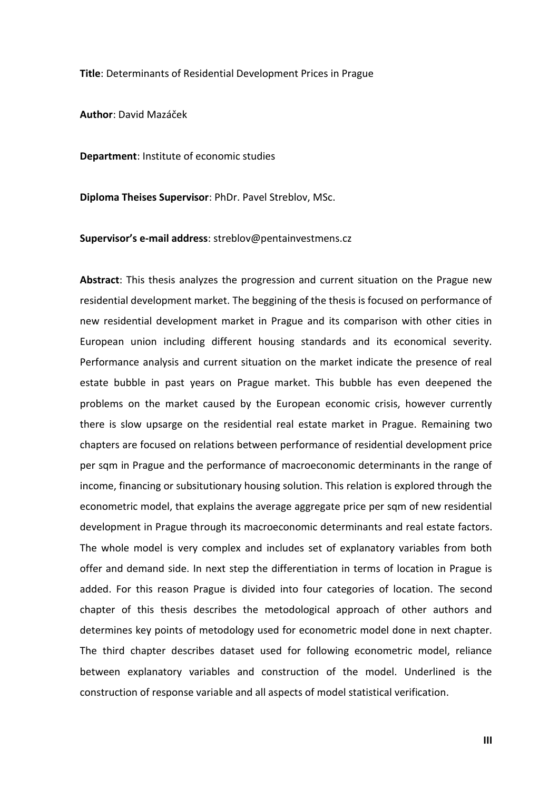**Title**: Determinants of Residential Development Prices in Prague

**Author**: David Mazáček

**Department**: Institute of economic studies

**Diploma Theises Supervisor**: PhDr. Pavel Streblov, MSc.

**Supervisor's e-mail address**: streblov@pentainvestmens.cz

**Abstract**: This thesis analyzes the progression and current situation on the Prague new residential development market. The beggining of the thesis is focused on performance of new residential development market in Prague and its comparison with other cities in European union including different housing standards and its economical severity. Performance analysis and current situation on the market indicate the presence of real estate bubble in past years on Prague market. This bubble has even deepened the problems on the market caused by the European economic crisis, however currently there is slow upsarge on the residential real estate market in Prague. Remaining two chapters are focused on relations between performance of residential development price per sqm in Prague and the performance of macroeconomic determinants in the range of income, financing or subsitutionary housing solution. This relation is explored through the econometric model, that explains the average aggregate price per sqm of new residential development in Prague through its macroeconomic determinants and real estate factors. The whole model is very complex and includes set of explanatory variables from both offer and demand side. In next step the differentiation in terms of location in Prague is added. For this reason Prague is divided into four categories of location. The second chapter of this thesis describes the metodological approach of other authors and determines key points of metodology used for econometric model done in next chapter. The third chapter describes dataset used for following econometric model, reliance between explanatory variables and construction of the model. Underlined is the construction of response variable and all aspects of model statistical verification.